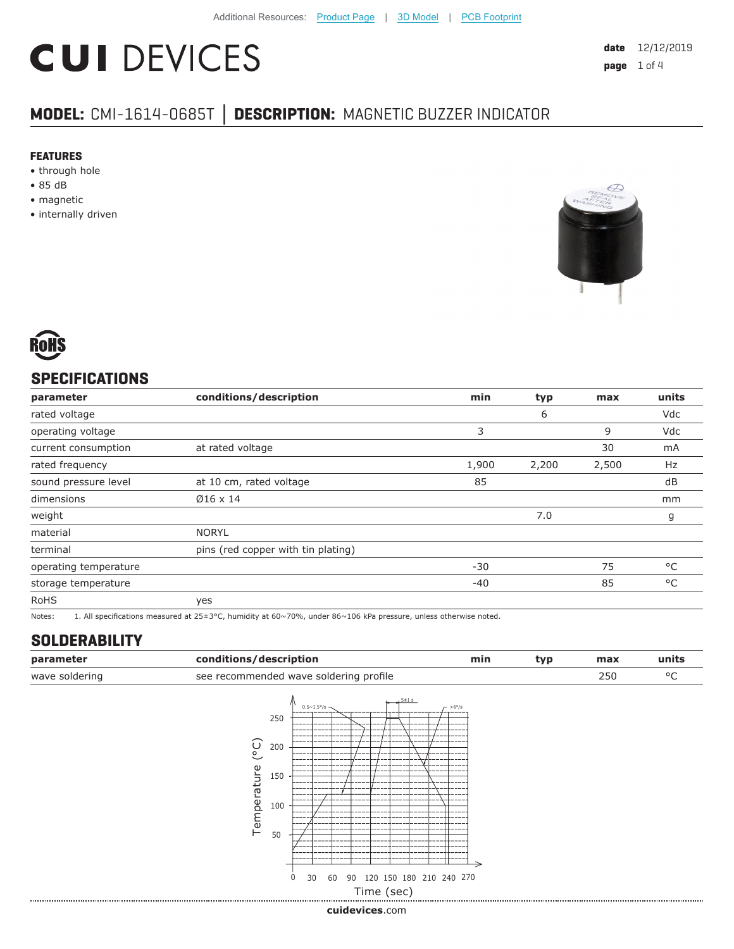# **CUI DEVICES**

**date** 12/12/2019 **page** 1 of 4

## **MODEL:** CMI-1614-0685T **│ DESCRIPTION:** MAGNETIC BUZZER INDICATOR

#### **FEATURES**

- through hole
- 85 dB
- magnetic
- internally driven





### **SPECIFICATIONS**

| parameter             | conditions/description             | min   | typ   | max   | units |
|-----------------------|------------------------------------|-------|-------|-------|-------|
| rated voltage         |                                    |       | 6     |       | Vdc   |
| operating voltage     |                                    | 3     |       | 9     | Vdc   |
| current consumption   | at rated voltage                   |       |       | 30    | mA    |
| rated frequency       |                                    | 1,900 | 2,200 | 2,500 | Hz    |
| sound pressure level  | at 10 cm, rated voltage            | 85    |       |       | dB    |
| dimensions            | $\varnothing$ 16 x 14              |       |       |       | mm    |
| weight                |                                    |       | 7.0   |       | g     |
| material              | <b>NORYL</b>                       |       |       |       |       |
| terminal              | pins (red copper with tin plating) |       |       |       |       |
| operating temperature |                                    | $-30$ |       | 75    | °C    |
| storage temperature   |                                    | $-40$ |       | 85    | °C    |
| <b>RoHS</b>           | yes                                |       |       |       |       |

Notes: 1. All specifications measured at 25±3°C, humidity at 60~70%, under 86~106 kPa pressure, unless otherwise noted.

#### **SOLDERABILITY**

| parameter      | conditions/description                                                                                            |                                                                    | min | typ | max | units |
|----------------|-------------------------------------------------------------------------------------------------------------------|--------------------------------------------------------------------|-----|-----|-----|-------|
| wave soldering | see recommended wave soldering profile                                                                            |                                                                    |     |     | 250 | °C    |
|                | $0.5 \times 1.5^{\circ}/s$ -<br>250<br>$\widetilde{C}$<br>200<br>Temperature<br>150<br>100<br>50<br>0<br>30<br>60 | $5 + 1 s$<br>$-$ >6°/s<br>90 120 150 180 210 240 270<br>Time (sec) |     |     |     |       |
|                |                                                                                                                   |                                                                    |     |     |     |       |

**cui[devices](https://www.cuidevices.com/track?actionLabel=Datasheet-ClickThrough-HomePage&label=CMI-1614-0685T.pdf&path=/)**.com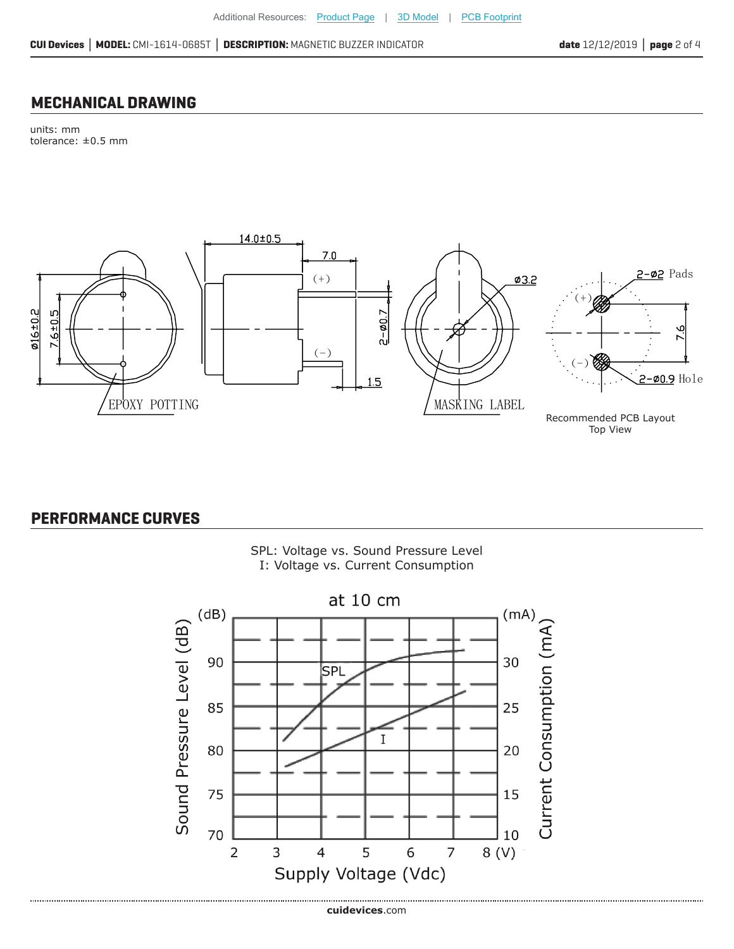#### **MECHANICAL DRAWING**

units: mm tolerance: ±0.5 mm



#### **PERFORMANCE CURVES**



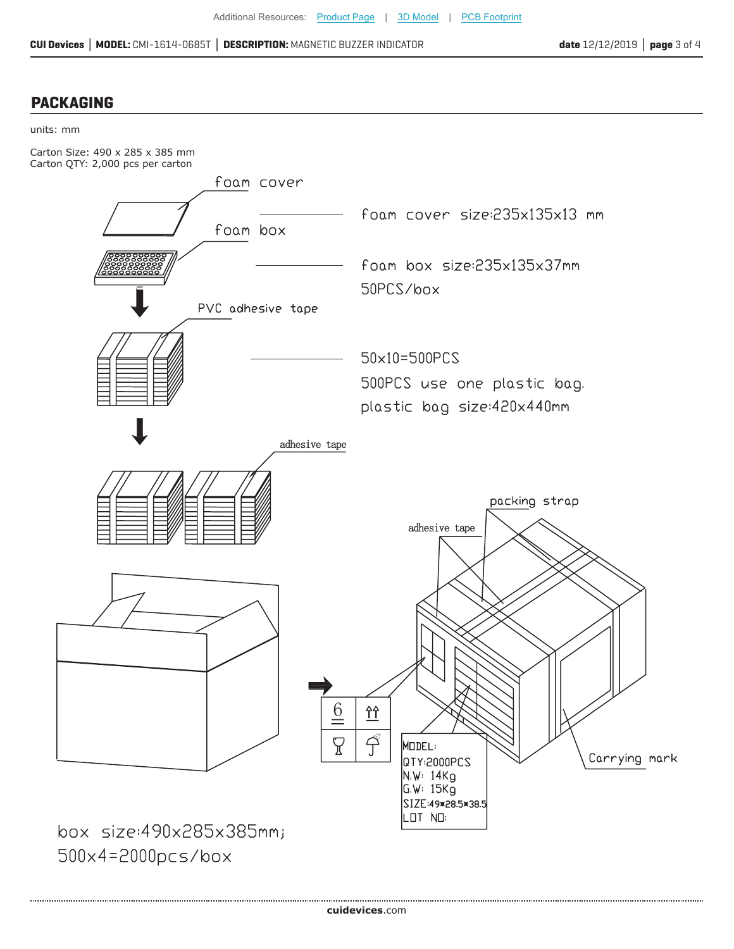#### **PACKAGING**





 $500\times4=2000pcs/box$